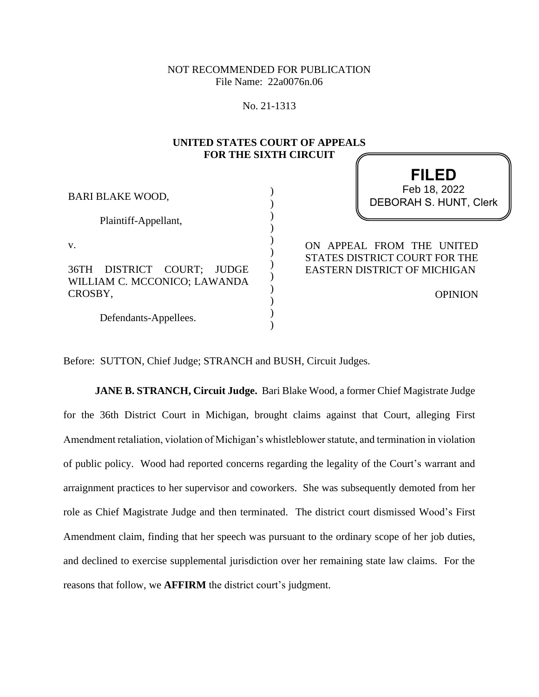NOT RECOMMENDED FOR PUBLICATION File Name: 22a0076n.06

No. 21-1313

## **UNITED STATES COURT OF APPEALS FOR THE SIXTH CIRCUIT**

) ) ) ) ) ) ) ) ) ) ) )

| <b>BARI BLAKE WOOD,</b>                                               |
|-----------------------------------------------------------------------|
| Plaintiff-Appellant,                                                  |
| V.                                                                    |
| 36TH DISTRICT COURT; JUDGE<br>WILLIAM C. MCCONICO; LAWANDA<br>CROSBY, |
| Defendants-Appellees.                                                 |

# **FILED** DEBORAH S. HUNT, Clerk Feb 18, 2022

ON APPEAL FROM THE UNITED STATES DISTRICT COURT FOR THE EASTERN DISTRICT OF MICHIGAN

OPINION

Before: SUTTON, Chief Judge; STRANCH and BUSH, Circuit Judges.

**JANE B. STRANCH, Circuit Judge.** Bari Blake Wood, a former Chief Magistrate Judge for the 36th District Court in Michigan, brought claims against that Court, alleging First Amendment retaliation, violation of Michigan's whistleblower statute, and termination in violation of public policy. Wood had reported concerns regarding the legality of the Court's warrant and arraignment practices to her supervisor and coworkers. She was subsequently demoted from her role as Chief Magistrate Judge and then terminated. The district court dismissed Wood's First Amendment claim, finding that her speech was pursuant to the ordinary scope of her job duties, and declined to exercise supplemental jurisdiction over her remaining state law claims. For the reasons that follow, we **AFFIRM** the district court's judgment.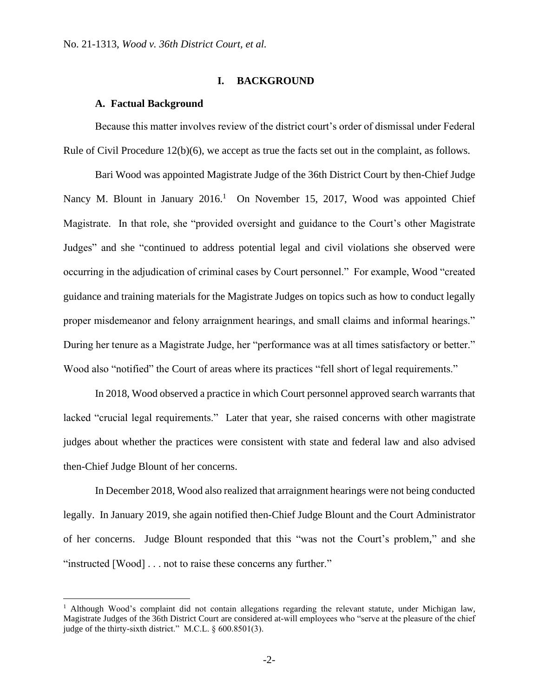### **I. BACKGROUND**

## **A. Factual Background**

Because this matter involves review of the district court's order of dismissal under Federal Rule of Civil Procedure 12(b)(6), we accept as true the facts set out in the complaint, as follows.

Bari Wood was appointed Magistrate Judge of the 36th District Court by then-Chief Judge Nancy M. Blount in January 2016.<sup>1</sup> On November 15, 2017, Wood was appointed Chief Magistrate. In that role, she "provided oversight and guidance to the Court's other Magistrate Judges" and she "continued to address potential legal and civil violations she observed were occurring in the adjudication of criminal cases by Court personnel." For example, Wood "created guidance and training materials for the Magistrate Judges on topics such as how to conduct legally proper misdemeanor and felony arraignment hearings, and small claims and informal hearings." During her tenure as a Magistrate Judge, her "performance was at all times satisfactory or better." Wood also "notified" the Court of areas where its practices "fell short of legal requirements."

In 2018, Wood observed a practice in which Court personnel approved search warrants that lacked "crucial legal requirements." Later that year, she raised concerns with other magistrate judges about whether the practices were consistent with state and federal law and also advised then-Chief Judge Blount of her concerns.

In December 2018, Wood also realized that arraignment hearings were not being conducted legally. In January 2019, she again notified then-Chief Judge Blount and the Court Administrator of her concerns. Judge Blount responded that this "was not the Court's problem," and she "instructed [Wood] . . . not to raise these concerns any further."

<sup>&</sup>lt;sup>1</sup> Although Wood's complaint did not contain allegations regarding the relevant statute, under Michigan law, Magistrate Judges of the 36th District Court are considered at-will employees who "serve at the pleasure of the chief judge of the thirty-sixth district." M.C.L. § 600.8501(3).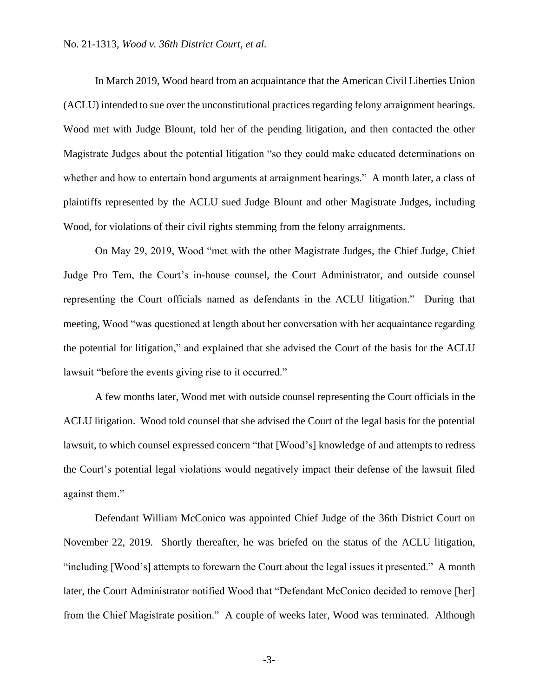In March 2019, Wood heard from an acquaintance that the American Civil Liberties Union (ACLU) intended to sue over the unconstitutional practices regarding felony arraignment hearings. Wood met with Judge Blount, told her of the pending litigation, and then contacted the other Magistrate Judges about the potential litigation "so they could make educated determinations on whether and how to entertain bond arguments at arraignment hearings." A month later, a class of plaintiffs represented by the ACLU sued Judge Blount and other Magistrate Judges, including Wood, for violations of their civil rights stemming from the felony arraignments.

On May 29, 2019, Wood "met with the other Magistrate Judges, the Chief Judge, Chief Judge Pro Tem, the Court's in-house counsel, the Court Administrator, and outside counsel representing the Court officials named as defendants in the ACLU litigation." During that meeting, Wood "was questioned at length about her conversation with her acquaintance regarding the potential for litigation," and explained that she advised the Court of the basis for the ACLU lawsuit "before the events giving rise to it occurred."

A few months later, Wood met with outside counsel representing the Court officials in the ACLU litigation. Wood told counsel that she advised the Court of the legal basis for the potential lawsuit, to which counsel expressed concern "that [Wood's] knowledge of and attempts to redress the Court's potential legal violations would negatively impact their defense of the lawsuit filed against them."

Defendant William McConico was appointed Chief Judge of the 36th District Court on November 22, 2019. Shortly thereafter, he was briefed on the status of the ACLU litigation, "including [Wood's] attempts to forewarn the Court about the legal issues it presented." A month later, the Court Administrator notified Wood that "Defendant McConico decided to remove [her] from the Chief Magistrate position." A couple of weeks later, Wood was terminated. Although

-3-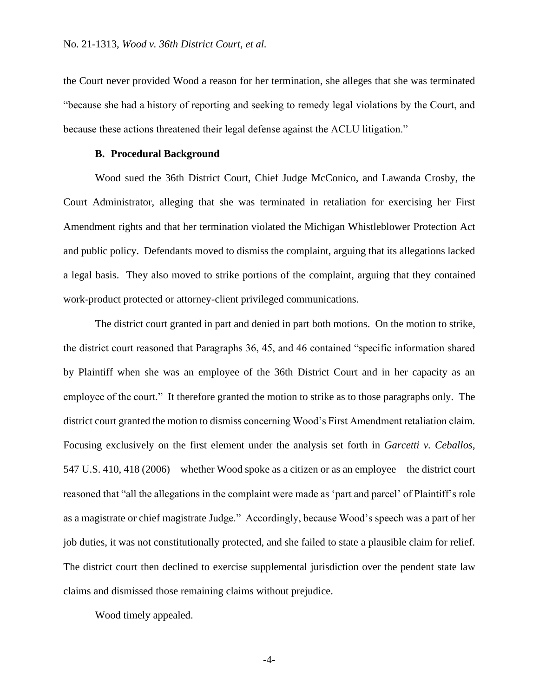the Court never provided Wood a reason for her termination, she alleges that she was terminated "because she had a history of reporting and seeking to remedy legal violations by the Court, and because these actions threatened their legal defense against the ACLU litigation."

#### **B. Procedural Background**

Wood sued the 36th District Court, Chief Judge McConico, and Lawanda Crosby, the Court Administrator, alleging that she was terminated in retaliation for exercising her First Amendment rights and that her termination violated the Michigan Whistleblower Protection Act and public policy. Defendants moved to dismiss the complaint, arguing that its allegations lacked a legal basis. They also moved to strike portions of the complaint, arguing that they contained work-product protected or attorney-client privileged communications.

The district court granted in part and denied in part both motions. On the motion to strike, the district court reasoned that Paragraphs 36, 45, and 46 contained "specific information shared by Plaintiff when she was an employee of the 36th District Court and in her capacity as an employee of the court." It therefore granted the motion to strike as to those paragraphs only. The district court granted the motion to dismiss concerning Wood's First Amendment retaliation claim. Focusing exclusively on the first element under the analysis set forth in *Garcetti v. Ceballos*, 547 U.S. 410, 418 (2006)—whether Wood spoke as a citizen or as an employee—the district court reasoned that "all the allegations in the complaint were made as 'part and parcel' of Plaintiff's role as a magistrate or chief magistrate Judge." Accordingly, because Wood's speech was a part of her job duties, it was not constitutionally protected, and she failed to state a plausible claim for relief. The district court then declined to exercise supplemental jurisdiction over the pendent state law claims and dismissed those remaining claims without prejudice.

Wood timely appealed.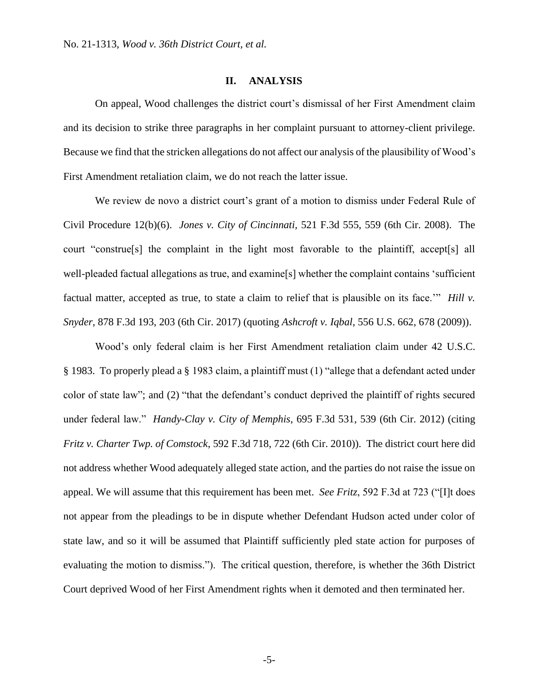### **II. ANALYSIS**

On appeal, Wood challenges the district court's dismissal of her First Amendment claim and its decision to strike three paragraphs in her complaint pursuant to attorney-client privilege. Because we find that the stricken allegations do not affect our analysis of the plausibility of Wood's First Amendment retaliation claim, we do not reach the latter issue.

We review de novo a district court's grant of a motion to dismiss under Federal Rule of Civil Procedure 12(b)(6). *Jones v. City of Cincinnati,* 521 F.3d 555, 559 (6th Cir. 2008). The court "construe[s] the complaint in the light most favorable to the plaintiff, accept[s] all well-pleaded factual allegations as true, and examine[s] whether the complaint contains 'sufficient factual matter, accepted as true, to state a claim to relief that is plausible on its face.'" *Hill v. Snyder*, 878 F.3d 193, 203 (6th Cir. 2017) (quoting *Ashcroft v. Iqbal*, 556 U.S. 662, 678 (2009)).

Wood's only federal claim is her First Amendment retaliation claim under 42 U.S.C. § 1983. To properly plead a § 1983 claim, a plaintiff must (1) "allege that a defendant acted under color of state law"; and (2) "that the defendant's conduct deprived the plaintiff of rights secured under federal law." *Handy-Clay v. City of Memphis*, 695 F.3d 531, 539 (6th Cir. 2012) (citing *Fritz v. Charter Twp. of Comstock*, 592 F.3d 718, 722 (6th Cir. 2010)). The district court here did not address whether Wood adequately alleged state action, and the parties do not raise the issue on appeal. We will assume that this requirement has been met. *See Fritz*, 592 F.3d at 723 ("[I]t does not appear from the pleadings to be in dispute whether Defendant Hudson acted under color of state law, and so it will be assumed that Plaintiff sufficiently pled state action for purposes of evaluating the motion to dismiss."). The critical question, therefore, is whether the 36th District Court deprived Wood of her First Amendment rights when it demoted and then terminated her.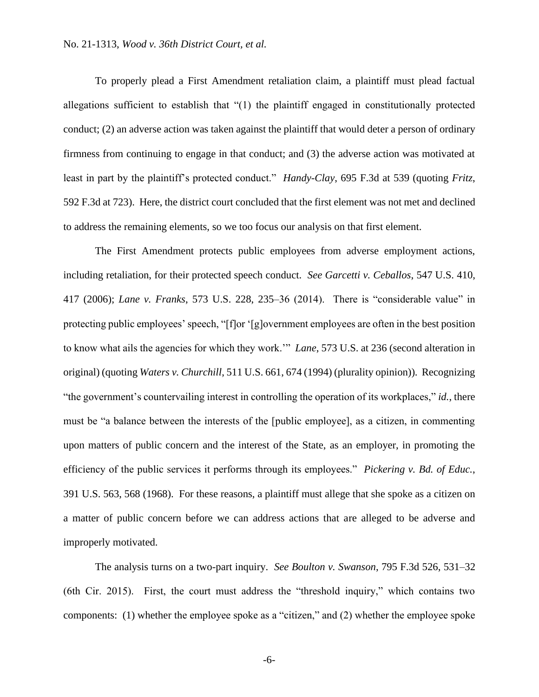To properly plead a First Amendment retaliation claim, a plaintiff must plead factual allegations sufficient to establish that "(1) the plaintiff engaged in constitutionally protected conduct; (2) an adverse action was taken against the plaintiff that would deter a person of ordinary firmness from continuing to engage in that conduct; and (3) the adverse action was motivated at least in part by the plaintiff's protected conduct." *Handy-Clay*, 695 F.3d at 539 (quoting *Fritz*, 592 F.3d at 723). Here, the district court concluded that the first element was not met and declined to address the remaining elements, so we too focus our analysis on that first element.

The First Amendment protects public employees from adverse employment actions, including retaliation, for their protected speech conduct. *See Garcetti v. Ceballos*, 547 U.S. 410, 417 (2006); *Lane v. Franks*, 573 U.S. 228, 235–36 (2014). There is "considerable value" in protecting public employees' speech, "[f]or '[g]overnment employees are often in the best position to know what ails the agencies for which they work.'" *Lane*, 573 U.S. at 236 (second alteration in original) (quoting *Waters v. Churchill*, 511 U.S. 661, 674 (1994) (plurality opinion)). Recognizing "the government's countervailing interest in controlling the operation of its workplaces," *id.*, there must be "a balance between the interests of the [public employee], as a citizen, in commenting upon matters of public concern and the interest of the State, as an employer, in promoting the efficiency of the public services it performs through its employees." *Pickering v. Bd. of Educ.*, 391 U.S. 563, 568 (1968). For these reasons, a plaintiff must allege that she spoke as a citizen on a matter of public concern before we can address actions that are alleged to be adverse and improperly motivated.

The analysis turns on a two-part inquiry. *See Boulton v. Swanson*, 795 F.3d 526, 531–32 (6th Cir. 2015). First, the court must address the "threshold inquiry," which contains two components: (1) whether the employee spoke as a "citizen," and (2) whether the employee spoke

-6-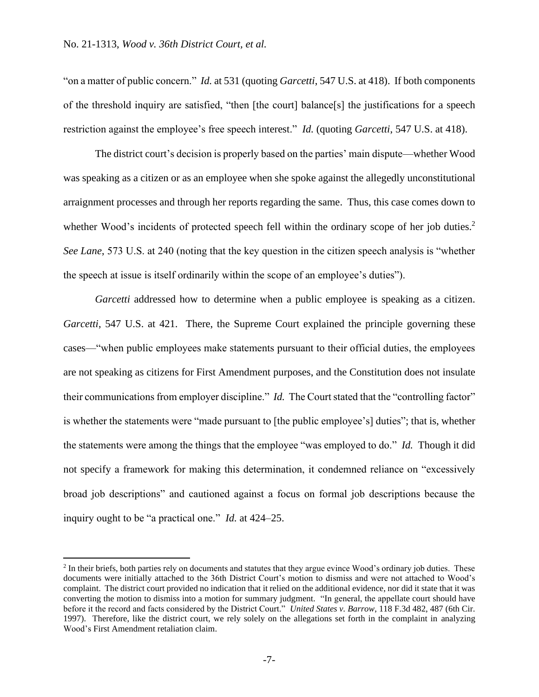"on a matter of public concern." *Id.* at 531 (quoting *Garcetti*, 547 U.S. at 418). If both components of the threshold inquiry are satisfied, "then [the court] balance[s] the justifications for a speech restriction against the employee's free speech interest." *Id.* (quoting *Garcetti*, 547 U.S. at 418).

The district court's decision is properly based on the parties' main dispute—whether Wood was speaking as a citizen or as an employee when she spoke against the allegedly unconstitutional arraignment processes and through her reports regarding the same. Thus, this case comes down to whether Wood's incidents of protected speech fell within the ordinary scope of her job duties.<sup>2</sup> *See Lane*, 573 U.S. at 240 (noting that the key question in the citizen speech analysis is "whether the speech at issue is itself ordinarily within the scope of an employee's duties").

*Garcetti* addressed how to determine when a public employee is speaking as a citizen. *Garcetti*, 547 U.S. at 421. There, the Supreme Court explained the principle governing these cases—"when public employees make statements pursuant to their official duties, the employees are not speaking as citizens for First Amendment purposes, and the Constitution does not insulate their communications from employer discipline." *Id.* The Court stated that the "controlling factor" is whether the statements were "made pursuant to [the public employee's] duties"; that is, whether the statements were among the things that the employee "was employed to do." *Id.* Though it did not specify a framework for making this determination, it condemned reliance on "excessively broad job descriptions" and cautioned against a focus on formal job descriptions because the inquiry ought to be "a practical one." *Id.* at 424–25.

 $<sup>2</sup>$  In their briefs, both parties rely on documents and statutes that they argue evince Wood's ordinary job duties. These</sup> documents were initially attached to the 36th District Court's motion to dismiss and were not attached to Wood's complaint. The district court provided no indication that it relied on the additional evidence, nor did it state that it was converting the motion to dismiss into a motion for summary judgment. "In general, the appellate court should have before it the record and facts considered by the District Court." *United States v. Barrow*, 118 F.3d 482, 487 (6th Cir. 1997). Therefore, like the district court, we rely solely on the allegations set forth in the complaint in analyzing Wood's First Amendment retaliation claim.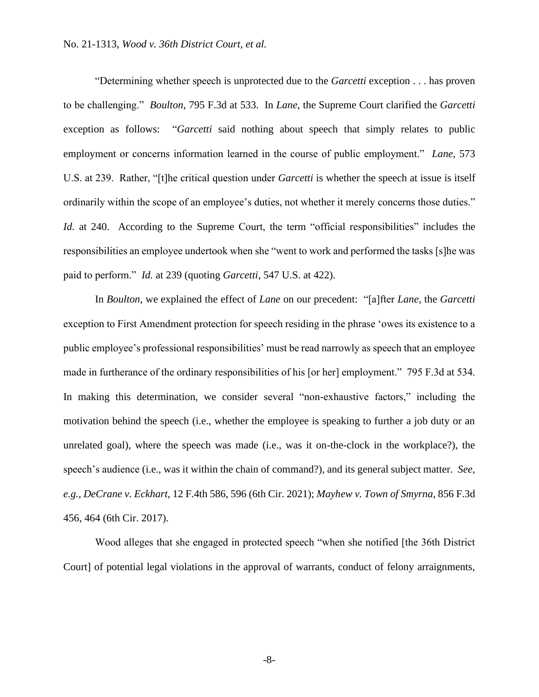"Determining whether speech is unprotected due to the *Garcetti* exception . . . has proven to be challenging." *Boulton*, 795 F.3d at 533. In *Lane*, the Supreme Court clarified the *Garcetti*  exception as follows: "*Garcetti* said nothing about speech that simply relates to public employment or concerns information learned in the course of public employment." *Lane*, 573 U.S. at 239. Rather, "[t]he critical question under *Garcetti* is whether the speech at issue is itself ordinarily within the scope of an employee's duties, not whether it merely concerns those duties." *Id.* at 240. According to the Supreme Court, the term "official responsibilities" includes the responsibilities an employee undertook when she "went to work and performed the tasks [s]he was paid to perform." *Id.* at 239 (quoting *Garcetti*, 547 U.S. at 422).

In *Boulton*, we explained the effect of *Lane* on our precedent: "[a]fter *Lane*, the *Garcetti*  exception to First Amendment protection for speech residing in the phrase 'owes its existence to a public employee's professional responsibilities' must be read narrowly as speech that an employee made in furtherance of the ordinary responsibilities of his [or her] employment." 795 F.3d at 534. In making this determination, we consider several "non-exhaustive factors," including the motivation behind the speech (i.e., whether the employee is speaking to further a job duty or an unrelated goal), where the speech was made (i.e., was it on-the-clock in the workplace?), the speech's audience (i.e., was it within the chain of command?), and its general subject matter. *See, e.g.*, *DeCrane v. Eckhart*, 12 F.4th 586, 596 (6th Cir. 2021); *Mayhew v. Town of Smyrna*, 856 F.3d 456, 464 (6th Cir. 2017).

Wood alleges that she engaged in protected speech "when she notified [the 36th District Court] of potential legal violations in the approval of warrants, conduct of felony arraignments,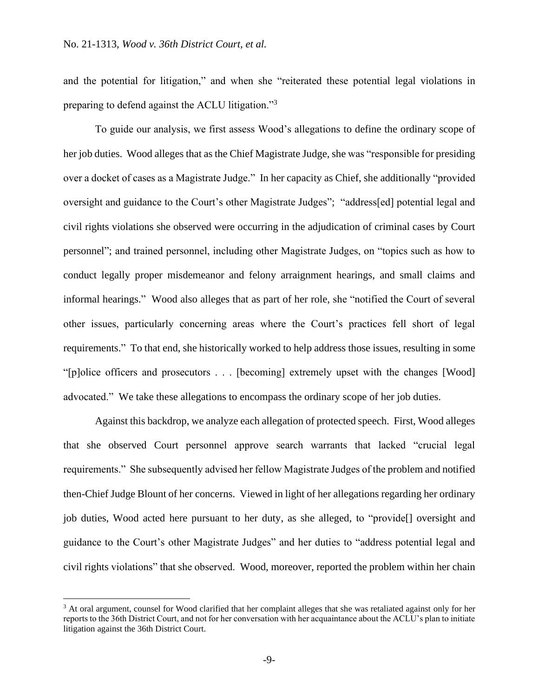and the potential for litigation," and when she "reiterated these potential legal violations in preparing to defend against the ACLU litigation."3

To guide our analysis, we first assess Wood's allegations to define the ordinary scope of her job duties. Wood alleges that as the Chief Magistrate Judge, she was "responsible for presiding over a docket of cases as a Magistrate Judge." In her capacity as Chief, she additionally "provided oversight and guidance to the Court's other Magistrate Judges"; "address[ed] potential legal and civil rights violations she observed were occurring in the adjudication of criminal cases by Court personnel"; and trained personnel, including other Magistrate Judges, on "topics such as how to conduct legally proper misdemeanor and felony arraignment hearings, and small claims and informal hearings." Wood also alleges that as part of her role, she "notified the Court of several other issues, particularly concerning areas where the Court's practices fell short of legal requirements." To that end, she historically worked to help address those issues, resulting in some "[p]olice officers and prosecutors . . . [becoming] extremely upset with the changes [Wood] advocated." We take these allegations to encompass the ordinary scope of her job duties.

Against this backdrop, we analyze each allegation of protected speech. First, Wood alleges that she observed Court personnel approve search warrants that lacked "crucial legal requirements." She subsequently advised her fellow Magistrate Judges of the problem and notified then-Chief Judge Blount of her concerns. Viewed in light of her allegations regarding her ordinary job duties, Wood acted here pursuant to her duty, as she alleged, to "provide[] oversight and guidance to the Court's other Magistrate Judges" and her duties to "address potential legal and civil rights violations" that she observed. Wood, moreover, reported the problem within her chain

<sup>&</sup>lt;sup>3</sup> At oral argument, counsel for Wood clarified that her complaint alleges that she was retaliated against only for her reports to the 36th District Court, and not for her conversation with her acquaintance about the ACLU's plan to initiate litigation against the 36th District Court.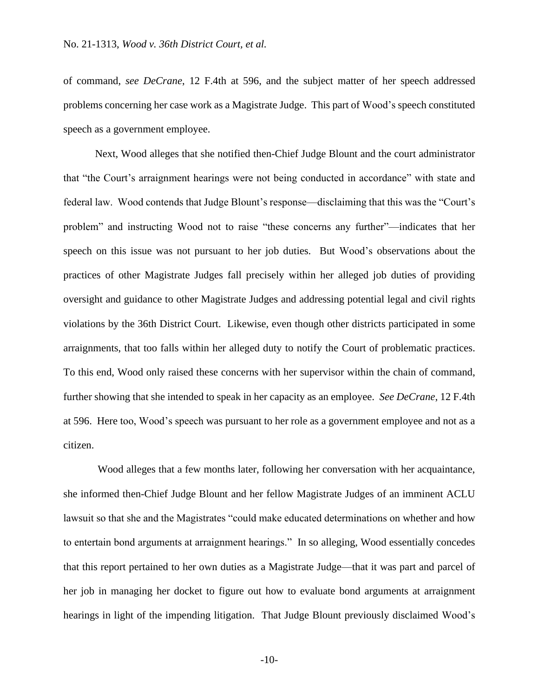of command, *see DeCrane*, 12 F.4th at 596, and the subject matter of her speech addressed problems concerning her case work as a Magistrate Judge. This part of Wood's speech constituted speech as a government employee.

Next, Wood alleges that she notified then-Chief Judge Blount and the court administrator that "the Court's arraignment hearings were not being conducted in accordance" with state and federal law. Wood contends that Judge Blount's response—disclaiming that this was the "Court's problem" and instructing Wood not to raise "these concerns any further"—indicates that her speech on this issue was not pursuant to her job duties. But Wood's observations about the practices of other Magistrate Judges fall precisely within her alleged job duties of providing oversight and guidance to other Magistrate Judges and addressing potential legal and civil rights violations by the 36th District Court. Likewise, even though other districts participated in some arraignments, that too falls within her alleged duty to notify the Court of problematic practices. To this end, Wood only raised these concerns with her supervisor within the chain of command, further showing that she intended to speak in her capacity as an employee. *See DeCrane*, 12 F.4th at 596. Here too, Wood's speech was pursuant to her role as a government employee and not as a citizen.

Wood alleges that a few months later, following her conversation with her acquaintance, she informed then-Chief Judge Blount and her fellow Magistrate Judges of an imminent ACLU lawsuit so that she and the Magistrates "could make educated determinations on whether and how to entertain bond arguments at arraignment hearings." In so alleging, Wood essentially concedes that this report pertained to her own duties as a Magistrate Judge—that it was part and parcel of her job in managing her docket to figure out how to evaluate bond arguments at arraignment hearings in light of the impending litigation. That Judge Blount previously disclaimed Wood's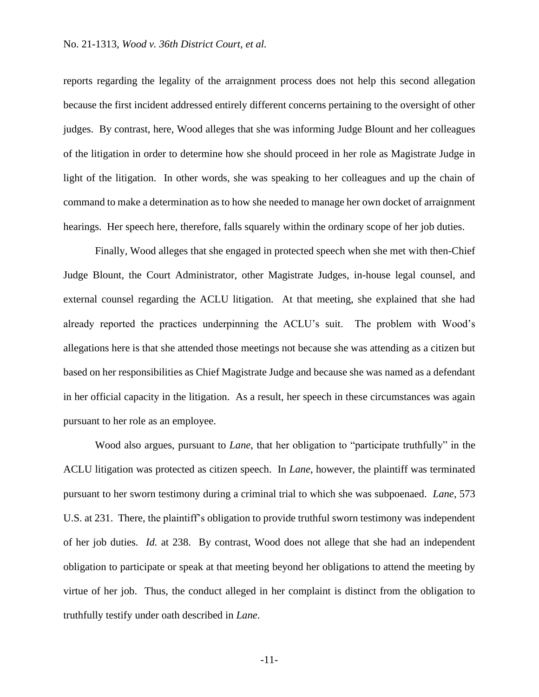reports regarding the legality of the arraignment process does not help this second allegation because the first incident addressed entirely different concerns pertaining to the oversight of other judges. By contrast, here, Wood alleges that she was informing Judge Blount and her colleagues of the litigation in order to determine how she should proceed in her role as Magistrate Judge in light of the litigation. In other words, she was speaking to her colleagues and up the chain of command to make a determination as to how she needed to manage her own docket of arraignment hearings. Her speech here, therefore, falls squarely within the ordinary scope of her job duties.

Finally, Wood alleges that she engaged in protected speech when she met with then-Chief Judge Blount, the Court Administrator, other Magistrate Judges, in-house legal counsel, and external counsel regarding the ACLU litigation. At that meeting, she explained that she had already reported the practices underpinning the ACLU's suit. The problem with Wood's allegations here is that she attended those meetings not because she was attending as a citizen but based on her responsibilities as Chief Magistrate Judge and because she was named as a defendant in her official capacity in the litigation. As a result, her speech in these circumstances was again pursuant to her role as an employee.

Wood also argues, pursuant to *Lane*, that her obligation to "participate truthfully" in the ACLU litigation was protected as citizen speech. In *Lane*, however, the plaintiff was terminated pursuant to her sworn testimony during a criminal trial to which she was subpoenaed. *Lane*, 573 U.S. at 231. There, the plaintiff's obligation to provide truthful sworn testimony was independent of her job duties. *Id.* at 238. By contrast, Wood does not allege that she had an independent obligation to participate or speak at that meeting beyond her obligations to attend the meeting by virtue of her job. Thus, the conduct alleged in her complaint is distinct from the obligation to truthfully testify under oath described in *Lane*.